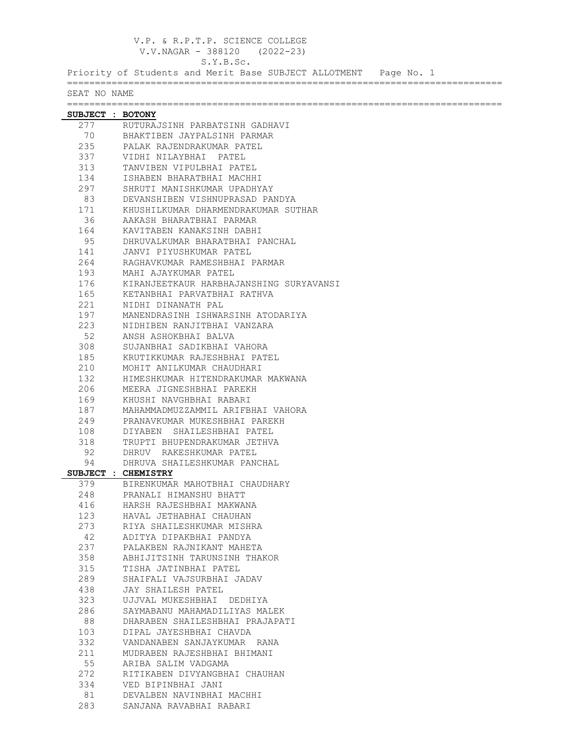|                  | V.P. & R.P.T.P. SCIENCE COLLEGE<br>$V.V.NAGAR - 388120$ (2022-23)             |  |  |
|------------------|-------------------------------------------------------------------------------|--|--|
|                  | S.Y.B.Sc.<br>Priority of Students and Merit Base SUBJECT ALLOTMENT Page No. 1 |  |  |
|                  | ================                                                              |  |  |
| SEAT NO NAME     |                                                                               |  |  |
| SUBJECT : BOTONY |                                                                               |  |  |
| 277              | RUTURAJSINH PARBATSINH GADHAVI                                                |  |  |
| 70               | BHAKTIBEN JAYPALSINH PARMAR                                                   |  |  |
| 235              | PALAK RAJENDRAKUMAR PATEL                                                     |  |  |
| 337              | VIDHI NILAYBHAI PATEL                                                         |  |  |
| 313              | TANVIBEN VIPULBHAI PATEL                                                      |  |  |
| 134              | ISHABEN BHARATBHAI MACHHI                                                     |  |  |
| 297              | SHRUTI MANISHKUMAR UPADHYAY                                                   |  |  |
| 83               | DEVANSHIBEN VISHNUPRASAD PANDYA                                               |  |  |
| 171              | KHUSHILKUMAR DHARMENDRAKUMAR SUTHAR                                           |  |  |
| 36               | AAKASH BHARATBHAI PARMAR                                                      |  |  |
| 164              | KAVITABEN KANAKSINH DABHI                                                     |  |  |
| 95               | DHRUVALKUMAR BHARATBHAI PANCHAL                                               |  |  |
| 141              | JANVI PIYUSHKUMAR PATEL                                                       |  |  |
| 264              | RAGHAVKUMAR RAMESHBHAI PARMAR                                                 |  |  |
| 193              | MAHI AJAYKUMAR PATEL                                                          |  |  |
| 176              | KIRANJEETKAUR HARBHAJANSHING SURYAVANSI                                       |  |  |
| 165              | KETANBHAI PARVATBHAI RATHVA                                                   |  |  |
| 221              | NIDHI DINANATH PAL                                                            |  |  |
| 197              | MANENDRASINH ISHWARSINH ATODARIYA                                             |  |  |
| 223              | NIDHIBEN RANJITBHAI VANZARA                                                   |  |  |
| 52<br>308        | ANSH ASHOKBHAI BALVA                                                          |  |  |
| 185              | SUJANBHAI SADIKBHAI VAHORA                                                    |  |  |
| 210              | KRUTIKKUMAR RAJESHBHAI PATEL<br>MOHIT ANILKUMAR CHAUDHARI                     |  |  |
| 132              | HIMESHKUMAR HITENDRAKUMAR MAKWANA                                             |  |  |
| 206              | MEERA JIGNESHBHAI PAREKH                                                      |  |  |
| 169              | KHUSHI NAVGHBHAI RABARI                                                       |  |  |
| 187              | MAHAMMADMUZZAMMIL ARIFBHAI VAHORA                                             |  |  |
| 249              | PRANAVKUMAR MUKESHBHAI PAREKH                                                 |  |  |
| 108              | DIYABEN SHAILESHBHAI PATEL                                                    |  |  |
| 318              | TRUPTI BHUPENDRAKUMAR JETHVA                                                  |  |  |
| 92               | DHRUV RAKESHKUMAR PATEL                                                       |  |  |
| 94               | DHRUVA SHAILESHKUMAR PANCHAL                                                  |  |  |
|                  | SUBJECT : CHEMISTRY                                                           |  |  |
| 379              | BIRENKUMAR MAHOTBHAI CHAUDHARY                                                |  |  |
| 248              | PRANALI HIMANSHU BHATT                                                        |  |  |
| 416              | HARSH RAJESHBHAI MAKWANA                                                      |  |  |
| 123              | HAVAL JETHABHAI CHAUHAN                                                       |  |  |
| 273              | RIYA SHAILESHKUMAR MISHRA                                                     |  |  |
| 42               | ADITYA DIPAKBHAI PANDYA                                                       |  |  |
| 237              | PALAKBEN RAJNIKANT MAHETA                                                     |  |  |
| 358              | ABHIJITSINH TARUNSINH THAKOR                                                  |  |  |
| 315              | TISHA JATINBHAI PATEL                                                         |  |  |
| 289              | SHAIFALI VAJSURBHAI JADAV                                                     |  |  |
| 438              | JAY SHAILESH PATEL                                                            |  |  |
| 323              | UJJVAL MUKESHBHAI DEDHIYA                                                     |  |  |
| 286              | SAYMABANU MAHAMADILIYAS MALEK                                                 |  |  |
| 88               | DHARABEN SHAILESHBHAI PRAJAPATI                                               |  |  |
| 103              | DIPAL JAYESHBHAI CHAVDA                                                       |  |  |
| 332              | VANDANABEN SANJAYKUMAR RANA                                                   |  |  |
| 211              | MUDRABEN RAJESHBHAI BHIMANI                                                   |  |  |
| 55               | ARIBA SALIM VADGAMA                                                           |  |  |
| 272              | RITIKABEN DIVYANGBHAI CHAUHAN                                                 |  |  |
| 334              | VED BIPINBHAI JANI                                                            |  |  |
| 81               | DEVALBEN NAVINBHAI MACHHI                                                     |  |  |

283 SANJANA RAVABHAI RABARI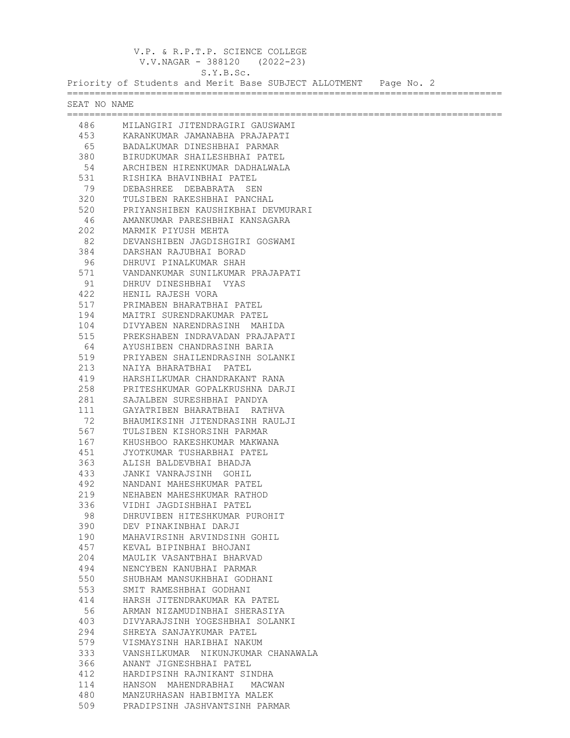V.P. & R.P.T.P. SCIENCE COLLEGE V.V.NAGAR - 388120 (2022-23) S.Y.B.Sc. Priority of Students and Merit Base SUBJECT ALLOTMENT Page No. 2 ============================================================================== SEAT NO NAME ============================================================================== 486 MILANGIRI JITENDRAGIRI GAUSWAMI 453 KARANKUMAR JAMANABHA PRAJAPATI 65 BADALKUMAR DINESHBHAI PARMAR 380 BIRUDKUMAR SHAILESHBHAI PATEL 54 ARCHIBEN HIRENKUMAR DADHALWALA 531 RISHIKA BHAVINBHAI PATEL 79 DEBASHREE DEBABRATA SEN 320 TULSIBEN RAKESHBHAI PANCHAL 520 PRIYANSHIBEN KAUSHIKBHAI DEVMURARI<br>46 AMANKUMAR PARESHBHAI KANSAGARA 46 AMANKUMAR PARESHBHAI KANSAGARA<br>202 MARMIK PIYUSH MEHTA 202 MARMIK PIYUSH MEHTA 82 DEVANSHIBEN JAGDISHGIRI GOSWAMI<br>384 DARSHAN RAJUBHAI BORAD 384 DARSHAN RAJUBHAI BORAD 96 DHRUVI PINALKUMAR SHAH 571 VANDANKUMAR SUNILKUMAR PRAJAPATI<br>91 DHRUV DINESHBHAI VYAS 91 DHRUV DINESHBHAI VYAS<br>422 HENIL RAJESH VORA 422 HENIL RAJESH VORA<br>517 PRIMABEN BHARATBHA 517 PRIMABEN BHARATBHAI PATEL 194 MAITRI SURENDRAKUMAR PATEL 104 DIVYABEN NARENDRASINH MAHIDA 515 PREKSHABEN INDRAVADAN PRAJAPATI 64 AYUSHIBEN CHANDRASINH BARIA 519 PRIYABEN SHAILENDRASINH SOLANKI 213 NAIYA BHARATBHAI PATEL 419 HARSHILKUMAR CHANDRAKANT RANA 258 PRITESHKUMAR GOPALKRUSHNA DARJI<br>281 SAJALBEN SURESHBHAI PANDYA 281 SAJALBEN SURESHBHAI PANDYA 111 GAYATRIBEN BHARATBHAI RATHVA 72 BHAUMIKSINH JITENDRASINH RAULJI<br>567 TULSIBEN KISHORSINH PARMAR 567 TULSIBEN KISHORSINH PARMAR 167 KHUSHBOO RAKESHKUMAR MAKWANA 451 JYOTKUMAR TUSHARBHAI PATEL 363 ALISH BALDEVBHAI BHADJA 433 JANKI VANRAJSINH GOHIL 492 NANDANI MAHESHKUMAR PATEL 219 NEHABEN MAHESHKUMAR RATHOD<br>336 VIDHI JAGDISHBHAI PATEL 336 VIDHI JAGDISHBHAI PATEL 98 DHRUVIBEN HITESHKUMAR PUROHIT<br>390 DEV PINAKINBHAI DARJI 390 DEV PINAKINBHAI DARJI 190 MAHAVIRSINH ARVINDSINH GOHIL 457 KEVAL BIPINBHAI BHOJANI 204 MAULIK VASANTBHAI BHARVAD 494 NENCYBEN KANUBHAI PARMAR 550 SHUBHAM MANSUKHBHAI GODHANI<br>553 SMIT RAMESHBHAI GODHANI 553 SMIT RAMESHBHAI GODHANI .<br>114 HARSH JITENDRAKUMAR KA PATEL<br>56 ARMAN NIZAMUDINBHAI SHERASIY

403 DIVYARAJSINH YOGESHBHAI SOLANKI<br>294 SHREYA SANJAYKUMAR PATEL 294 SHREYA SANJAYKUMAR PATEL 579 VISMAYSINH HARIBHAI NAKUM 333 VANSHILKUMAR NIKUNJKUMAR CHANAWALA 366 ANANT JIGNESHBHAI PATEL 412 HARDIPSINH RAJNIKANT SINDHA 114 HANSON MAHENDRABHAI MACWAN 480 MANZURHASAN HABIBMIYA MALEK 509 PRADIPSINH JASHVANTSINH PARMAR

56 ARMAN NIZAMUDINBHAI SHERASIYA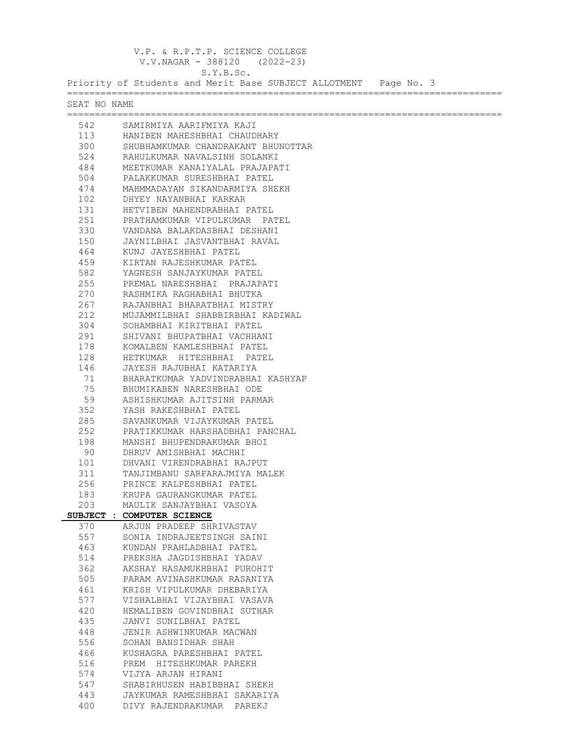V.P. & R.P.T.P. SCIENCE COLLEGE V.V.NAGAR - 388120 (2022-23) S.Y.B.Sc. Priority of Students and Merit Base SUBJECT ALLOTMENT Page No. 3 ============================================================================== SEAT NO NAME ============================================================================== 542 SAMIRMIYA AARIFMIYA KAJI 113 HANIBEN MAHESHBHAI CHAUDHARY<br>300 SHUBHAMKUMAR CHANDRAKANT BHUI 300 SHUBHAMKUMAR CHANDRAKANT BHUNOTTAR 524 RAHULKUMAR NAVALSINH SOLANKI 484 MEETKUMAR KANAIYALAL PRAJAPATI 504 PALAKKUMAR SURESHBHAI PATEL 474 MAHMMADAYAN SIKANDARMIYA SHEKH 102 DHYEY NAYANBHAI KARKAR 131 HETVIBEN MAHENDRABHAI PATEL 251 PRATHAMKUMAR VIPULKUMAR PATEL 330 VANDANA BALAKDASBHAI DESHANI 150 JAYNILBHAI JASVANTBHAI RAVAL 464 KUNJ JAYESHBHAI PATEL<br>459 KIRTAN RAJESHKUMAR PAT 459 KIRTAN RAJESHKUMAR PATEL 582 YAGNESH SANJAYKUMAR PATEL 255 PREMAL NARESHBHAI PRAJAPATI 270 RASHMIKA RAGHABHAI BHUTKA 267 RAJANBHAI BHARATBHAI MISTRY 212 MUJAMMILBHAI SHABBIRBHAI KADIWAL<br>304 SOHAMBHAI KIRITBHAI PATEL 304 SOHAMBHAI KIRITBHAI PATEL 291 SHIVANI BHUPATBHAI VACHHANI 178 KOMALBEN KAMLESHBHAI PATEL 128 HETKUMAR HITESHBHAI PATEL 146 JAYESH RAJUBHAI KATARIYA 71 BHARATKUMAR YADVINDRABHAI KASHYAP 75 BHUMIKABEN NARESHBHAI ODE 59 ASHISHKUMAR AJITSINH PARMAR<br>352 YASH RAKESHBHAI PATEL 352 YASH RAKESHBHAI PATEL 285 SAVANKUMAR VIJAYKUMAR PATEL 252 PRATIKKUMAR HARSHADBHAI PANCHAL 198 MANSHI BHUPENDRAKUMAR BHOI<br>90 DHRUV AMISHBHAI MACHHI 90 DHRUV AMISHBHAI MACHHI<br>101 DHVANI VIRENDRABHAI RA 101 DHVANI VIRENDRABHAI RAJPUT 311 TANJIMBANU SARFARAJMIYA MALEK 256 PRINCE KALPESHBHAI PATEL 183 KRUPA GAURANGKUMAR PATEL 203 MAULIK SANJAYBHAI VASOYA **SUBJECT : COMPUTER SCIENCE** 370 ARJUN PRADEEP SHRIVASTAV 557 SONIA INDRAJEETSINGH SAINI<br>463 KUNDAN PRAHLADBHAI PATEL 463 KUNDAN PRAHLADBHAI PATEL 514 PREKSHA JAGDISHBHAI YADAV 362 AKSHAY HASAMUKHBHAI PUROHIT 505 PARAM AVINASHKUMAR RASANIYA 461 KRISH VIPULKUMAR DHEBARIYA 577 VISHALBHAI VIJAYBHAI VASAVA 420 HEMALIBEN GOVINDBHAI SUTHAR 435 JANVI SUNILBHAI PATEL<br>448 JENIR ASHWINKUMAR MACI 448 JENIR ASHWINKUMAR MACWAN<br>556 SOHAN RANSIDHAR SHAH 556 SOHAN BANSIDHAR SHAH 466 KUSHAGRA PARESHBHAI PATEL 516 PREM HITESHKUMAR PAREKH 574 VIJYA ARJAN HIRANI 547 SHABIRHUSEN HABIBBHAI SHEKH<br>443 JAYKUMAR RAMESHBHAI SAKARIY 443 JAYKUMAR RAMESHBHAI SAKARIYA 400 DIVY RAJENDRAKUMAR PAREKJ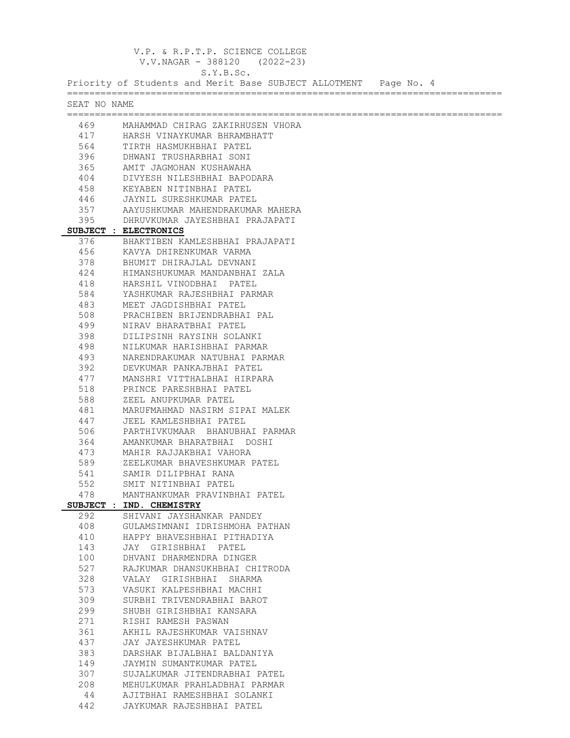V.P. & R.P.T.P. SCIENCE COLLEGE V.V.NAGAR - 388120 (2022-23) S.Y.B.Sc. Priority of Students and Merit Base SUBJECT ALLOTMENT Page No. 4 ============================================================================== SEAT NO NAME ============================================================================== 469 MAHAMMAD CHIRAG ZAKIRHUSEN VHORA 417 HARSH VINAYKUMAR BHRAMBHATT<br>564 TIRTH HASMUKHBHAT PATEL 564 TIRTH HASMUKHBHAI PATEL 396 DHWANI TRUSHARBHAI SONI 365 AMIT JAGMOHAN KUSHAWAHA 404 DIVYESH NILESHBHAI BAPODARA 458 KEYABEN NITINBHAI PATEL 446 JAYNIL SURESHKUMAR PATEL 357 AAYUSHKUMAR MAHENDRAKUMAR MAHERA 395 DHRUVKUMAR JAYESHBHAI PRAJAPATI **SUBJECT : ELECTRONICS** 376 BHAKTIBEN KAMLESHBHAI PRAJAPATI 456 KAVYA DHIRENKUMAR VARMA 378 BHUMIT DHIRAJLAL DEVNANI 424 HIMANSHUKUMAR MANDANBHAI ZALA 418 HARSHIL VINODBHAI PATEL 584 YASHKUMAR RAJESHBHAI PARMAR 483 MEET JAGDISHBHAI PATEL 508 PRACHIBEN BRIJENDRABHAI PAL 499 NIRAV BHARATBHAI PATEL 398 DILIPSINH RAYSINH SOLANKI 498 NILKUMAR HARISHBHAI PARMAR 493 NARENDRAKUMAR NATUBHAI PARMAR 392 DEVKUMAR PANKAJBHAI PATEL 477 MANSHRI VITTHALBHAI HIRPARA 518 PRINCE PARESHBHAI PATEL 588 ZEEL ANUPKUMAR PATEL<br>481 MARUFMAHMAD NASIRM S 481 MARUFMAHMAD NASIRM SIPAI MALEK 447 JEEL KAMLESHBHAI PATEL 506 PARTHIVKUMAAR BHANUBHAI PARMAR 364 AMANKUMAR BHARATBHAI DOSHI 473 MAHIR RAJJAKBHAI VAHORA 589 ZEELKUMAR BHAVESHKUMAR PATEL 541 SAMIR DILIPBHAI RANA 552 SMIT NITINBHAI PATEL 478 MANTHANKUMAR PRAVINBHAI PATEL **SUBJECT : IND. CHEMISTRY**<br>292 **SHIVANI JAYSHAN** 292 SHIVANI JAYSHANKAR PANDEY 408 GULAMSIMNANI IDRISHMOHA PATHAN 410 HAPPY BHAVESHBHAI PITHADIYA 143 JAY GIRISHBHAI PATEL<br>100 DHVANI DHARMENDRA DING 100 DHVANI DHARMENDRA DINGER 527 RAJKUMAR DHANSUKHBHAI CHITRODA 328 VALAY GIRISHBHAI SHARMA 573 VASUKI KALPESHBHAI MACHHI 309 SURBHI TRIVENDRABHAI BAROT 299 SHUBH GIRISHBHAI KANSARA<br>271 RISHI RAMESH PASWAN 271 RISHI RAMESH PASWAN<br>361 AKHIL RAJESHKUMAR V. 361 AKHIL RAJESHKUMAR VAISHNAV 437 JAY JAYESHKUMAR PATEL 383 DARSHAK BIJALBHAI BALDANIYA 149 JAYMIN SUMANTKUMAR PATEL 307 SUJALKUMAR JITENDRABHAI PATEL 208 MEHULKUMAR PRAHLADBHAI PARMAR<br>44 AJITBHAI RAMESHBHAI SOLANKI 44 AJITBHAI RAMESHBHAI SOLANKI 442 JAYKUMAR RAJESHBHAI PATEL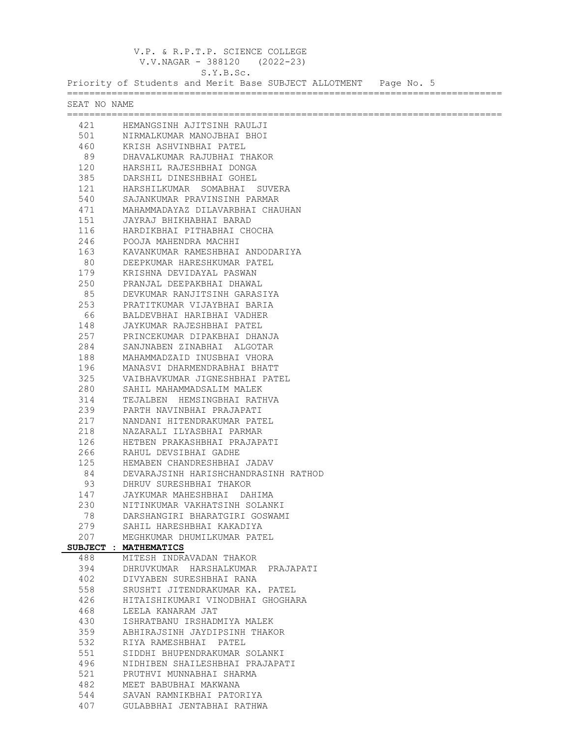V.P. & R.P.T.P. SCIENCE COLLEGE V.V.NAGAR - 388120 (2022-23) S.Y.B.Sc. Priority of Students and Merit Base SUBJECT ALLOTMENT Page No. 5 ============================================================================== SEAT NO NAME ============================================================================== 421 HEMANGSINH AJITSINH RAULJI 501 MIRMALKUMAR MANOJBHAI BHOI<br>460 KRISH ASHVINRHAI PATEL 460 KRISH ASHVINBHAI PATEL 89 DHAVALKUMAR RAJUBHAI THAKOR 120 HARSHIL RAJESHBHAI DONGA<br>385 DARSHIL DINESHBHAI GOHEL 385 DARSHIL DINESHBHAI GOHEL 121 HARSHILKUMAR SOMABHAI SUVERA 540 SAJANKUMAR PRAVINSINH PARMAR 471 MAHAMMADAYAZ DILAVARBHAI CHAUHAN 151 JAYRAJ BHIKHABHAI BARAD 116 HARDIKBHAI PITHABHAI CHOCHA<br>246 POOJA MAHENDRA MACHHI 246 POOJA MAHENDRA MACHHI 163 KAVANKUMAR RAMESHBHAI ANDODARIYA<br>80 DEEPKUMAR HARESHKUMAR PATEL 80 DEEPKUMAR HARESHKUMAR PATEL 179 KRISHNA DEVIDAYAL PASWAN 250 PRANJAL DEEPAKBHAI DHAWAL 85 DEVKUMAR RANJITSINH GARASIYA 253 PRATITKUMAR VIJAYBHAI BARIA 66 BALDEVBHAI HARIBHAI VADHER 148 JAYKUMAR RAJESHBHAI PATEL 257 PRINCEKUMAR DIPAKBHAI DHANJA 284 SANJNABEN ZINABHAI ALGOTAR 188 MAHAMMADZAID INUSBHAI VHORA 196 MANASVI DHARMENDRABHAI BHATT 325 VAIBHAVKUMAR JIGNESHBHAI PATEL 280 SAHIL MAHAMMADSALIM MALEK<br>314 TEJALBEN HEMSINGBHAI RATI 314 TEJALBEN HEMSINGBHAI RATHVA<br>239 PARTH NAVINBHAI PRAJAPATI 239 PARTH NAVINBHAI PRAJAPATI 217 NANDANI HITENDRAKUMAR PATEL 218 NAZARALI ILYASBHAI PARMAR 126 HETBEN PRAKASHBHAI PRAJAPATI<br>266 RAHUL DEVSIBHAI GADHE 266 RAHUL DEVSIBHAI GADHE<br>125 HEMABEN CHANDRESHBHAI 125 HEMABEN CHANDRESHBHAI JADAV 84 DEVARAJSINH HARISHCHANDRASINH RATHOD 93 DHRUV SURESHBHAI THAKOR<br>147 JAYKUMAR MAHESHBHAI DAI 147 JAYKUMAR MAHESHBHAI DAHIMA 230 NITINKUMAR VAKHATSINH SOLANKI<br>78 DARSHANGIRI BHARATGIRI GOSWAM 78 DARSHANGIRI BHARATGIRI GOSWAMI 279 SAHIL HARESHBHAI KAKADIYA 207 MEGHKUMAR DHUMILKUMAR PATEL **SUBJECT : MATHEMATICS** 488 MITESH INDRAVADAN THAKOR 394 DHRUVKUMAR HARSHALKUMAR PRAJAPATI 402 DIVYABEN SURESHBHAI RANA 558 SRUSHTI JITENDRAKUMAR KA. PATEL 426 HITAISHIKUMARI VINODBHAI GHOGHARA<br>468 LEELA KANARAM JAT 468 LEELA KANARAM JAT<br>430 ISHRATBANU IRSHAD 430 ISHRATBANU IRSHADMIYA MALEK<br>359 ABHIRAJSINH JAYDIPSINH THAK 359 ABHIRAJSINH JAYDIPSINH THAKOR 532 RIYA RAMESHBHAI PATEL 551 SIDDHI BHUPENDRAKUMAR SOLANKI 496 NIDHIBEN SHAILESHBHAI PRAJAPATI 521 PRUTHVI MUNNABHAI SHARMA<br>482 MEET BABUBHAI MAKWANA 482 MEET BABUBHAI MAKWANA<br>544 SAVAN RAMNIKBHAI PATO 544 SAVAN RAMNIKBHAI PATORIYA 407 GULABBHAI JENTABHAI RATHWA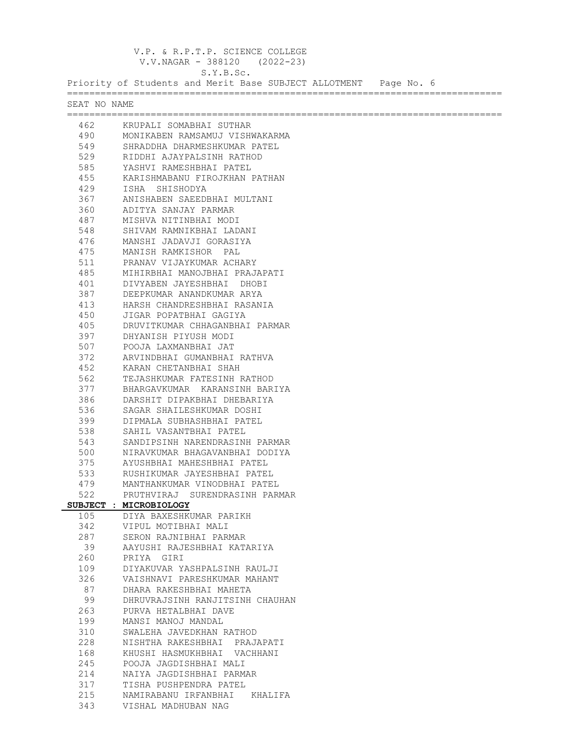V.P. & R.P.T.P. SCIENCE COLLEGE V.V.NAGAR - 388120 (2022-23) S.Y.B.Sc. Priority of Students and Merit Base SUBJECT ALLOTMENT Page No. 6 ============================================================================== SEAT NO NAME ============================================================================== 462 KRUPALI SOMABHAI SUTHAR 490 MONIKABEN RAMSAMUJ VISHWAKARMA 549 SHRADDHA DHARMESHKUMAR PATEL 529 RIDDHI AJAYPALSINH RATHOD 585 YASHVI RAMESHBHAI PATEL 455 KARISHMABANU FIROJKHAN PATHAN 429 ISHA SHISHODYA<br>367 ANISHABEN SAEEDI 367 ANISHABEN SAEEDBHAI MULTANI 360 ADITYA SANJAY PARMAR 487 MISHVA NITINBHAI MODI 548 SHIVAM RAMNIKBHAI LADANI 476 MANSHI JADAVJI GORASIYA 475 MANISH RAMKISHOR PAL 511 PRANAV VIJAYKUMAR ACHARY 485 MIHIRBHAI MANOJBHAI PRAJAPATI 401 DIVYABEN JAYESHBHAI DHOBI 387 DEEPKUMAR ANANDKUMAR ARYA 413 HARSH CHANDRESHBHAI RASANIA 450 JIGAR POPATBHAI GAGIYA 405 DRUVITKUMAR CHHAGANBHAI PARMAR 397 DHYANISH PIYUSH MODI 507 POOJA LAXMANBHAI JAT 372 ARVINDBHAI GUMANBHAI RATHVA 452 KARAN CHETANBHAI SHAH<br>562 TEJASHKUMAR FATESINH I 562 TEJASHKUMAR FATESINH RATHOD 377 BHARGAVKUMAR KARANSINH BARIYA 386 DARSHIT DIPAKBHAI DHEBARIYA 536 SAGAR SHAILESHKUMAR DOSHI 399 DIPMALA SUBHASHBHAI PATEL 538 SAHIL VASANTBHAI PATEL 543 SANDIPSINH NARENDRASINH PARMAR 500 NIRAVKUMAR BHAGAVANBHAI DODIYA 375 AYUSHBHAI MAHESHBHAI PATEL 533 RUSHIKUMAR JAYESHBHAI PATEL 479 MANTHANKUMAR VINODBHAI PATEL 522 PRUTHVIRAJ SURENDRASINH PARMAR **SUBJECT : MICROBIOLOGY** 105 DIYA BAXESHKUMAR PARIKH 342 VIPUL MOTIBHAI MALI<br>287 SERON RAJNIBHAI PAR 287 SERON RAJNIBHAI PARMAR 39 AAYUSHI RAJESHBHAI KATARIYA 260 PRIYA GIRI 109 DIYAKUVAR YASHPALSINH RAULJI 326 VAISHNAVI PARESHKUMAR MAHANT 87 DHARA RAKESHBHAI MAHETA 99 DHRUVRAJSINH RANJITSINH CHAUHAN<br>263 PURVA HETALBHAI DAVE 263 PURVA HETALBHAI DAVE<br>199 MANSI MANOJ MANDAL 199 MANSI MANOJ MANDAL 310 SWALEHA JAVEDKHAN RATHOD 228 NISHTHA RAKESHBHAI PRAJAPATI 168 KHUSHI HASMUKHBHAI VACHHANI 245 POOJA JAGDISHBHAI MALI 214 NAIYA JAGDISHBHAI PARMAR 317 TISHA PUSHPENDRA PATEL 215 NAMIRABANU IRFANBHAI KHALIFA

343 VISHAL MADHUBAN NAG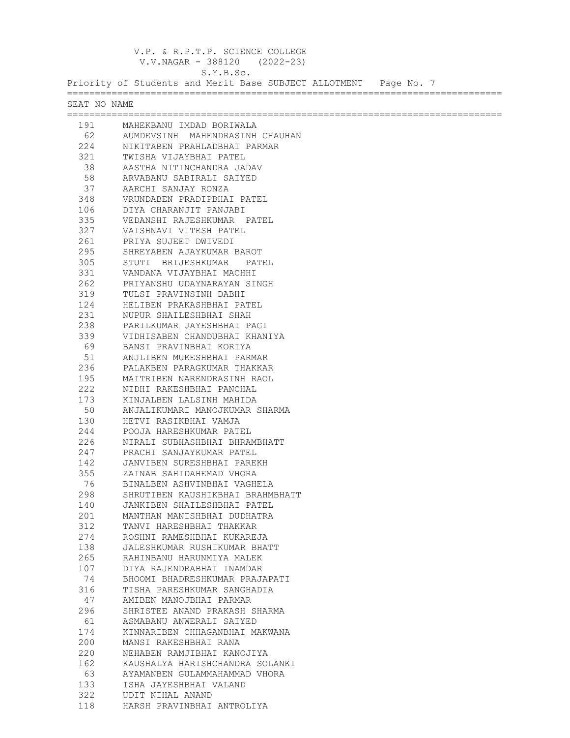V.P. & R.P.T.P. SCIENCE COLLEGE V.V.NAGAR - 388120 (2022-23) S.Y.B.Sc. Priority of Students and Merit Base SUBJECT ALLOTMENT Page No. 7 ============================================================================== SEAT NO NAME ============================================================================== 191 MAHEKBANU IMDAD BORIWALA<br>62 AUMDEVSINH MAHENDRASINH 62 AUMDEVSINH MAHENDRASINH CHAUHAN<br>224 NIKITAREN PRAHLADRHAI PARMAR 224 NIKITABEN PRAHLADBHAI PARMAR 321 TWISHA VIJAYBHAI PATEL 38 AASTHA NITINCHANDRA JADAV 58 ARVABANU SABIRALI SAIYED 37 AARCHI SANJAY RONZA<br>348 YRUNDABEN PRADIPBHAI 348 VRUNDABEN PRADIPBHAI PATEL 106 DIYA CHARANJIT PANJABI 335 VEDANSHI RAJESHKUMAR PATEL 327 VAISHNAVI VITESH PATEL 261 PRIYA SUJEET DWIVEDI<br>295 SHREYABEN AJAYKUMAR 295 SHREYABEN AJAYKUMAR BAROT<br>305 STUTI BRIJESHKUMAR PAT 305 STUTI BRIJESHKUMAR PATEL 331 VANDANA VIJAYBHAI MACHHI 262 PRIYANSHU UDAYNARAYAN SINGH 319 TULSI PRAVINSINH DABHI<br>124 HELIBEN PRAKASHBHAI PA 124 HELIBEN PRAKASHBHAI PATEL 231 NUPUR SHAILESHBHAI SHAH<br>238 PARILKUMAR JAYESHBHAI P. 238 PARILKUMAR JAYESHBHAI PAGI 339 VIDHISABEN CHANDUBHAI KHANIYA 69 BANSI PRAVINBHAI KORIYA 51 ANJLIBEN MUKESHBHAI PARMAR<br>236 PALAKBEN PARAGKUMAR THAKKA 236 PALAKBEN PARAGKUMAR THAKKAR 195 MAITRIBEN NARENDRASINH RAOL 222 NIDHI RAKESHBHAI PANCHAL 173 KINJALBEN LALSINH MAHIDA 50 ANJALIKUMARI MANOJKUMAR SHARMA 130 HETVI RASIKBHAI VAMJA 244 POOJA HARESHKUMAR PATEL 226 NIRALI SUBHASHBHAI BHRAMBHATT<br>247 PRACHI SANJAYKUMAR PATEL 247 PRACHI SANJAYKUMAR PATEL 142 JANVIBEN SURESHBHAI PAREKH 355 ZAINAB SAHIDAHEMAD VHORA<br> BINALBEN ASHVINBHAI VAGH 76 BINALBEN ASHVINBHAI VAGHELA 298 SHRUTIBEN KAUSHIKBHAI BRAHMBHATT<br>140 JANKIBEN SHAILESHBHAI PATEL 140 JANKIBEN SHAILESHBHAI PATEL 201 MANTHAN MANISHBHAI DUDHATRA<br>312 TANVI HARESHBHAI THAKKAR 312 TANVI HARESHBHAI THAKKAR 274 ROSHNI RAMESHBHAI KUKAREJA<br>138 JALESHKUMAR RUSHIKUMAR BHA 138 JALESHKUMAR RUSHIKUMAR BHATT 265 RAHINBANU HARUNMIYA MALEK 107 DIYA RAJENDRABHAI INAMDAR 74 BHOOMI BHADRESHKUMAR PRAJAPATI 316 TISHA PARESHKUMAR SANGHADIA 47 AMIBEN MANOJBHAI PARMAR 296 SHRISTEE ANAND PRAKASH SHARMA 61 ASMABANU ANWERALI SAIYED 174 KINNARIBEN CHHAGANBHAI MAKWANA 200 MANSI RAKESHBHAI RANA 220 NEHABEN RAMJIBHAI KANOJIYA 162 KAUSHALYA HARISHCHANDRA SOLANKI 63 AYAMANBEN GULAMMAHAMMAD VHORA 133 ISHA JAYESHBHAI VALAND 322 UDIT NIHAL ANAND 118 HARSH PRAVINBHAI ANTROLIYA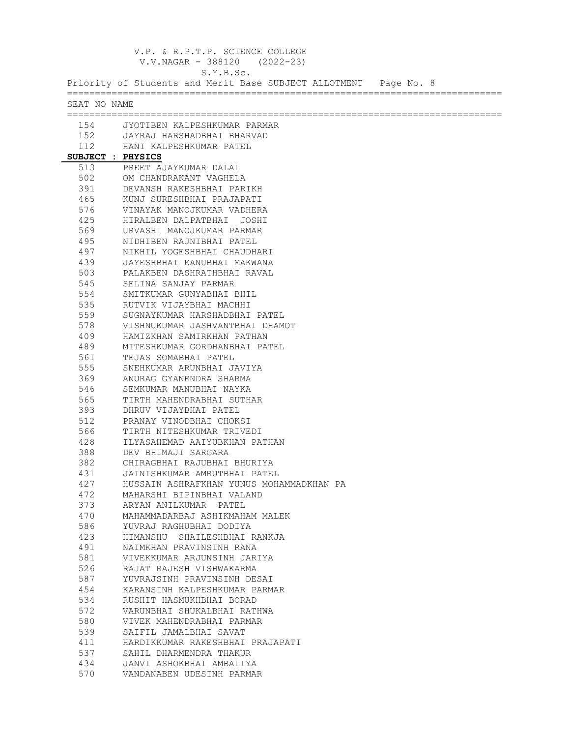V.P. & R.P.T.P. SCIENCE COLLEGE V.V.NAGAR - 388120 (2022-23)

S.Y.B.Sc.

Priority of Students and Merit Base SUBJECT ALLOTMENT Page No. 8

| SEAT NO NAME<br>154 JYOTIBEN KALPESHKUMAR PARMAR<br>152 JAYRAJ HARSHADBHAI BHARVAD<br>112<br>HANI KALPESHKUMAR PATEL<br>SUBJECT : PHYSICS<br>513<br>PREET AJAYKUMAR DALAL<br>502<br>OM CHANDRAKANT VAGHELA<br>391<br>DEVANSH RAKESHBHAI PARIKH<br>465<br>KUNJ SURESHBHAI PRAJAPATI<br>576<br>VINAYAK MANOJKUMAR VADHERA<br>425<br>HIRALBEN DALPATBHAI JOSHI<br>569<br>URVASHI MANOJKUMAR PARMAR<br>495<br>NIDHIBEN RAJNIBHAI PATEL<br>497<br>NIKHIL YOGESHBHAI CHAUDHARI<br>439<br>JAYESHBHAI KANUBHAI MAKWANA<br>503<br>PALAKBEN DASHRATHBHAI RAVAL<br>545<br>SELINA SANJAY PARMAR<br>554<br>SMITKUMAR GUNYABHAI BHIL<br>535<br>RUTVIK VIJAYBHAI MACHHI<br>559<br>SUGNAYKUMAR HARSHADBHAI PATEL<br>578<br>VISHNUKUMAR JASHVANTBHAI DHAMOT<br>409<br>HAMIZKHAN SAMIRKHAN PATHAN<br>489<br>MITESHKUMAR GORDHANBHAI PATEL<br>561<br>TEJAS SOMABHAI PATEL<br>555<br>SNEHKUMAR ARUNBHAI JAVIYA<br>369<br>ANURAG GYANENDRA SHARMA<br>546<br>SEMKUMAR MANUBHAI NAYKA<br>565<br>TIRTH MAHENDRABHAI SUTHAR<br>393<br>DHRUV VIJAYBHAI PATEL<br>512<br>PRANAY VINODBHAI CHOKSI<br>566<br>TIRTH NITESHKUMAR TRIVEDI<br>428<br>ILYASAHEMAD AAIYUBKHAN PATHAN<br>388<br>DEV BHIMAJI SARGARA<br>382<br>CHIRAGBHAI RAJUBHAI BHURIYA<br>431<br>JAINISHKUMAR AMRUTBHAI PATEL<br>427<br>HUSSAIN ASHRAFKHAN YUNUS MOHAMMADKHAN PA<br>472<br>MAHARSHI BIPINBHAI VALAND<br>373<br>ARYAN ANILKUMAR PATEL<br>470<br>MAHAMMADARBAJ ASHIKMAHAM MALEK<br>586<br>YUVRAJ RAGHUBHAI DODIYA<br>423<br>HIMANSHU SHAILESHBHAI RANKJA<br>491<br>NAIMKHAN PRAVINSINH RANA<br>581<br>VIVEKKUMAR ARJUNSINH JARIYA<br>526<br>RAJAT RAJESH VISHWAKARMA<br>587<br>YUVRAJSINH PRAVINSINH DESAI<br>454<br>KARANSINH KALPESHKUMAR PARMAR<br>534<br>RUSHIT HASMUKHBHAI BORAD<br>572<br>VARUNBHAI SHUKALBHAI RATHWA<br>580<br>VIVEK MAHENDRABHAI PARMAR<br>539<br>SAIFIL JAMALBHAI SAVAT<br>411<br>HARDIKKUMAR RAKESHBHAI PRAJAPATI<br>537<br>SAHIL DHARMENDRA THAKUR |     |                          |  |  |
|---------------------------------------------------------------------------------------------------------------------------------------------------------------------------------------------------------------------------------------------------------------------------------------------------------------------------------------------------------------------------------------------------------------------------------------------------------------------------------------------------------------------------------------------------------------------------------------------------------------------------------------------------------------------------------------------------------------------------------------------------------------------------------------------------------------------------------------------------------------------------------------------------------------------------------------------------------------------------------------------------------------------------------------------------------------------------------------------------------------------------------------------------------------------------------------------------------------------------------------------------------------------------------------------------------------------------------------------------------------------------------------------------------------------------------------------------------------------------------------------------------------------------------------------------------------------------------------------------------------------------------------------------------------------------------------------------------------------------------------------------------------------------------------------------------------------------------------------------------------------------------------------------------------------------|-----|--------------------------|--|--|
|                                                                                                                                                                                                                                                                                                                                                                                                                                                                                                                                                                                                                                                                                                                                                                                                                                                                                                                                                                                                                                                                                                                                                                                                                                                                                                                                                                                                                                                                                                                                                                                                                                                                                                                                                                                                                                                                                                                           |     |                          |  |  |
|                                                                                                                                                                                                                                                                                                                                                                                                                                                                                                                                                                                                                                                                                                                                                                                                                                                                                                                                                                                                                                                                                                                                                                                                                                                                                                                                                                                                                                                                                                                                                                                                                                                                                                                                                                                                                                                                                                                           |     |                          |  |  |
|                                                                                                                                                                                                                                                                                                                                                                                                                                                                                                                                                                                                                                                                                                                                                                                                                                                                                                                                                                                                                                                                                                                                                                                                                                                                                                                                                                                                                                                                                                                                                                                                                                                                                                                                                                                                                                                                                                                           |     |                          |  |  |
|                                                                                                                                                                                                                                                                                                                                                                                                                                                                                                                                                                                                                                                                                                                                                                                                                                                                                                                                                                                                                                                                                                                                                                                                                                                                                                                                                                                                                                                                                                                                                                                                                                                                                                                                                                                                                                                                                                                           |     |                          |  |  |
|                                                                                                                                                                                                                                                                                                                                                                                                                                                                                                                                                                                                                                                                                                                                                                                                                                                                                                                                                                                                                                                                                                                                                                                                                                                                                                                                                                                                                                                                                                                                                                                                                                                                                                                                                                                                                                                                                                                           |     |                          |  |  |
|                                                                                                                                                                                                                                                                                                                                                                                                                                                                                                                                                                                                                                                                                                                                                                                                                                                                                                                                                                                                                                                                                                                                                                                                                                                                                                                                                                                                                                                                                                                                                                                                                                                                                                                                                                                                                                                                                                                           |     |                          |  |  |
|                                                                                                                                                                                                                                                                                                                                                                                                                                                                                                                                                                                                                                                                                                                                                                                                                                                                                                                                                                                                                                                                                                                                                                                                                                                                                                                                                                                                                                                                                                                                                                                                                                                                                                                                                                                                                                                                                                                           |     |                          |  |  |
|                                                                                                                                                                                                                                                                                                                                                                                                                                                                                                                                                                                                                                                                                                                                                                                                                                                                                                                                                                                                                                                                                                                                                                                                                                                                                                                                                                                                                                                                                                                                                                                                                                                                                                                                                                                                                                                                                                                           |     |                          |  |  |
|                                                                                                                                                                                                                                                                                                                                                                                                                                                                                                                                                                                                                                                                                                                                                                                                                                                                                                                                                                                                                                                                                                                                                                                                                                                                                                                                                                                                                                                                                                                                                                                                                                                                                                                                                                                                                                                                                                                           |     |                          |  |  |
|                                                                                                                                                                                                                                                                                                                                                                                                                                                                                                                                                                                                                                                                                                                                                                                                                                                                                                                                                                                                                                                                                                                                                                                                                                                                                                                                                                                                                                                                                                                                                                                                                                                                                                                                                                                                                                                                                                                           |     |                          |  |  |
|                                                                                                                                                                                                                                                                                                                                                                                                                                                                                                                                                                                                                                                                                                                                                                                                                                                                                                                                                                                                                                                                                                                                                                                                                                                                                                                                                                                                                                                                                                                                                                                                                                                                                                                                                                                                                                                                                                                           |     |                          |  |  |
|                                                                                                                                                                                                                                                                                                                                                                                                                                                                                                                                                                                                                                                                                                                                                                                                                                                                                                                                                                                                                                                                                                                                                                                                                                                                                                                                                                                                                                                                                                                                                                                                                                                                                                                                                                                                                                                                                                                           |     |                          |  |  |
|                                                                                                                                                                                                                                                                                                                                                                                                                                                                                                                                                                                                                                                                                                                                                                                                                                                                                                                                                                                                                                                                                                                                                                                                                                                                                                                                                                                                                                                                                                                                                                                                                                                                                                                                                                                                                                                                                                                           |     |                          |  |  |
|                                                                                                                                                                                                                                                                                                                                                                                                                                                                                                                                                                                                                                                                                                                                                                                                                                                                                                                                                                                                                                                                                                                                                                                                                                                                                                                                                                                                                                                                                                                                                                                                                                                                                                                                                                                                                                                                                                                           |     |                          |  |  |
|                                                                                                                                                                                                                                                                                                                                                                                                                                                                                                                                                                                                                                                                                                                                                                                                                                                                                                                                                                                                                                                                                                                                                                                                                                                                                                                                                                                                                                                                                                                                                                                                                                                                                                                                                                                                                                                                                                                           |     |                          |  |  |
|                                                                                                                                                                                                                                                                                                                                                                                                                                                                                                                                                                                                                                                                                                                                                                                                                                                                                                                                                                                                                                                                                                                                                                                                                                                                                                                                                                                                                                                                                                                                                                                                                                                                                                                                                                                                                                                                                                                           |     |                          |  |  |
|                                                                                                                                                                                                                                                                                                                                                                                                                                                                                                                                                                                                                                                                                                                                                                                                                                                                                                                                                                                                                                                                                                                                                                                                                                                                                                                                                                                                                                                                                                                                                                                                                                                                                                                                                                                                                                                                                                                           |     |                          |  |  |
|                                                                                                                                                                                                                                                                                                                                                                                                                                                                                                                                                                                                                                                                                                                                                                                                                                                                                                                                                                                                                                                                                                                                                                                                                                                                                                                                                                                                                                                                                                                                                                                                                                                                                                                                                                                                                                                                                                                           |     |                          |  |  |
|                                                                                                                                                                                                                                                                                                                                                                                                                                                                                                                                                                                                                                                                                                                                                                                                                                                                                                                                                                                                                                                                                                                                                                                                                                                                                                                                                                                                                                                                                                                                                                                                                                                                                                                                                                                                                                                                                                                           |     |                          |  |  |
|                                                                                                                                                                                                                                                                                                                                                                                                                                                                                                                                                                                                                                                                                                                                                                                                                                                                                                                                                                                                                                                                                                                                                                                                                                                                                                                                                                                                                                                                                                                                                                                                                                                                                                                                                                                                                                                                                                                           |     |                          |  |  |
|                                                                                                                                                                                                                                                                                                                                                                                                                                                                                                                                                                                                                                                                                                                                                                                                                                                                                                                                                                                                                                                                                                                                                                                                                                                                                                                                                                                                                                                                                                                                                                                                                                                                                                                                                                                                                                                                                                                           |     |                          |  |  |
|                                                                                                                                                                                                                                                                                                                                                                                                                                                                                                                                                                                                                                                                                                                                                                                                                                                                                                                                                                                                                                                                                                                                                                                                                                                                                                                                                                                                                                                                                                                                                                                                                                                                                                                                                                                                                                                                                                                           |     |                          |  |  |
|                                                                                                                                                                                                                                                                                                                                                                                                                                                                                                                                                                                                                                                                                                                                                                                                                                                                                                                                                                                                                                                                                                                                                                                                                                                                                                                                                                                                                                                                                                                                                                                                                                                                                                                                                                                                                                                                                                                           |     |                          |  |  |
|                                                                                                                                                                                                                                                                                                                                                                                                                                                                                                                                                                                                                                                                                                                                                                                                                                                                                                                                                                                                                                                                                                                                                                                                                                                                                                                                                                                                                                                                                                                                                                                                                                                                                                                                                                                                                                                                                                                           |     |                          |  |  |
|                                                                                                                                                                                                                                                                                                                                                                                                                                                                                                                                                                                                                                                                                                                                                                                                                                                                                                                                                                                                                                                                                                                                                                                                                                                                                                                                                                                                                                                                                                                                                                                                                                                                                                                                                                                                                                                                                                                           |     |                          |  |  |
|                                                                                                                                                                                                                                                                                                                                                                                                                                                                                                                                                                                                                                                                                                                                                                                                                                                                                                                                                                                                                                                                                                                                                                                                                                                                                                                                                                                                                                                                                                                                                                                                                                                                                                                                                                                                                                                                                                                           |     |                          |  |  |
|                                                                                                                                                                                                                                                                                                                                                                                                                                                                                                                                                                                                                                                                                                                                                                                                                                                                                                                                                                                                                                                                                                                                                                                                                                                                                                                                                                                                                                                                                                                                                                                                                                                                                                                                                                                                                                                                                                                           |     |                          |  |  |
|                                                                                                                                                                                                                                                                                                                                                                                                                                                                                                                                                                                                                                                                                                                                                                                                                                                                                                                                                                                                                                                                                                                                                                                                                                                                                                                                                                                                                                                                                                                                                                                                                                                                                                                                                                                                                                                                                                                           |     |                          |  |  |
|                                                                                                                                                                                                                                                                                                                                                                                                                                                                                                                                                                                                                                                                                                                                                                                                                                                                                                                                                                                                                                                                                                                                                                                                                                                                                                                                                                                                                                                                                                                                                                                                                                                                                                                                                                                                                                                                                                                           |     |                          |  |  |
|                                                                                                                                                                                                                                                                                                                                                                                                                                                                                                                                                                                                                                                                                                                                                                                                                                                                                                                                                                                                                                                                                                                                                                                                                                                                                                                                                                                                                                                                                                                                                                                                                                                                                                                                                                                                                                                                                                                           |     |                          |  |  |
|                                                                                                                                                                                                                                                                                                                                                                                                                                                                                                                                                                                                                                                                                                                                                                                                                                                                                                                                                                                                                                                                                                                                                                                                                                                                                                                                                                                                                                                                                                                                                                                                                                                                                                                                                                                                                                                                                                                           |     |                          |  |  |
|                                                                                                                                                                                                                                                                                                                                                                                                                                                                                                                                                                                                                                                                                                                                                                                                                                                                                                                                                                                                                                                                                                                                                                                                                                                                                                                                                                                                                                                                                                                                                                                                                                                                                                                                                                                                                                                                                                                           |     |                          |  |  |
|                                                                                                                                                                                                                                                                                                                                                                                                                                                                                                                                                                                                                                                                                                                                                                                                                                                                                                                                                                                                                                                                                                                                                                                                                                                                                                                                                                                                                                                                                                                                                                                                                                                                                                                                                                                                                                                                                                                           |     |                          |  |  |
|                                                                                                                                                                                                                                                                                                                                                                                                                                                                                                                                                                                                                                                                                                                                                                                                                                                                                                                                                                                                                                                                                                                                                                                                                                                                                                                                                                                                                                                                                                                                                                                                                                                                                                                                                                                                                                                                                                                           |     |                          |  |  |
|                                                                                                                                                                                                                                                                                                                                                                                                                                                                                                                                                                                                                                                                                                                                                                                                                                                                                                                                                                                                                                                                                                                                                                                                                                                                                                                                                                                                                                                                                                                                                                                                                                                                                                                                                                                                                                                                                                                           |     |                          |  |  |
|                                                                                                                                                                                                                                                                                                                                                                                                                                                                                                                                                                                                                                                                                                                                                                                                                                                                                                                                                                                                                                                                                                                                                                                                                                                                                                                                                                                                                                                                                                                                                                                                                                                                                                                                                                                                                                                                                                                           |     |                          |  |  |
|                                                                                                                                                                                                                                                                                                                                                                                                                                                                                                                                                                                                                                                                                                                                                                                                                                                                                                                                                                                                                                                                                                                                                                                                                                                                                                                                                                                                                                                                                                                                                                                                                                                                                                                                                                                                                                                                                                                           |     |                          |  |  |
|                                                                                                                                                                                                                                                                                                                                                                                                                                                                                                                                                                                                                                                                                                                                                                                                                                                                                                                                                                                                                                                                                                                                                                                                                                                                                                                                                                                                                                                                                                                                                                                                                                                                                                                                                                                                                                                                                                                           |     |                          |  |  |
|                                                                                                                                                                                                                                                                                                                                                                                                                                                                                                                                                                                                                                                                                                                                                                                                                                                                                                                                                                                                                                                                                                                                                                                                                                                                                                                                                                                                                                                                                                                                                                                                                                                                                                                                                                                                                                                                                                                           |     |                          |  |  |
|                                                                                                                                                                                                                                                                                                                                                                                                                                                                                                                                                                                                                                                                                                                                                                                                                                                                                                                                                                                                                                                                                                                                                                                                                                                                                                                                                                                                                                                                                                                                                                                                                                                                                                                                                                                                                                                                                                                           |     |                          |  |  |
|                                                                                                                                                                                                                                                                                                                                                                                                                                                                                                                                                                                                                                                                                                                                                                                                                                                                                                                                                                                                                                                                                                                                                                                                                                                                                                                                                                                                                                                                                                                                                                                                                                                                                                                                                                                                                                                                                                                           |     |                          |  |  |
|                                                                                                                                                                                                                                                                                                                                                                                                                                                                                                                                                                                                                                                                                                                                                                                                                                                                                                                                                                                                                                                                                                                                                                                                                                                                                                                                                                                                                                                                                                                                                                                                                                                                                                                                                                                                                                                                                                                           |     |                          |  |  |
|                                                                                                                                                                                                                                                                                                                                                                                                                                                                                                                                                                                                                                                                                                                                                                                                                                                                                                                                                                                                                                                                                                                                                                                                                                                                                                                                                                                                                                                                                                                                                                                                                                                                                                                                                                                                                                                                                                                           |     |                          |  |  |
|                                                                                                                                                                                                                                                                                                                                                                                                                                                                                                                                                                                                                                                                                                                                                                                                                                                                                                                                                                                                                                                                                                                                                                                                                                                                                                                                                                                                                                                                                                                                                                                                                                                                                                                                                                                                                                                                                                                           |     |                          |  |  |
|                                                                                                                                                                                                                                                                                                                                                                                                                                                                                                                                                                                                                                                                                                                                                                                                                                                                                                                                                                                                                                                                                                                                                                                                                                                                                                                                                                                                                                                                                                                                                                                                                                                                                                                                                                                                                                                                                                                           |     |                          |  |  |
|                                                                                                                                                                                                                                                                                                                                                                                                                                                                                                                                                                                                                                                                                                                                                                                                                                                                                                                                                                                                                                                                                                                                                                                                                                                                                                                                                                                                                                                                                                                                                                                                                                                                                                                                                                                                                                                                                                                           |     |                          |  |  |
|                                                                                                                                                                                                                                                                                                                                                                                                                                                                                                                                                                                                                                                                                                                                                                                                                                                                                                                                                                                                                                                                                                                                                                                                                                                                                                                                                                                                                                                                                                                                                                                                                                                                                                                                                                                                                                                                                                                           |     |                          |  |  |
|                                                                                                                                                                                                                                                                                                                                                                                                                                                                                                                                                                                                                                                                                                                                                                                                                                                                                                                                                                                                                                                                                                                                                                                                                                                                                                                                                                                                                                                                                                                                                                                                                                                                                                                                                                                                                                                                                                                           |     |                          |  |  |
|                                                                                                                                                                                                                                                                                                                                                                                                                                                                                                                                                                                                                                                                                                                                                                                                                                                                                                                                                                                                                                                                                                                                                                                                                                                                                                                                                                                                                                                                                                                                                                                                                                                                                                                                                                                                                                                                                                                           |     |                          |  |  |
|                                                                                                                                                                                                                                                                                                                                                                                                                                                                                                                                                                                                                                                                                                                                                                                                                                                                                                                                                                                                                                                                                                                                                                                                                                                                                                                                                                                                                                                                                                                                                                                                                                                                                                                                                                                                                                                                                                                           |     |                          |  |  |
|                                                                                                                                                                                                                                                                                                                                                                                                                                                                                                                                                                                                                                                                                                                                                                                                                                                                                                                                                                                                                                                                                                                                                                                                                                                                                                                                                                                                                                                                                                                                                                                                                                                                                                                                                                                                                                                                                                                           |     |                          |  |  |
|                                                                                                                                                                                                                                                                                                                                                                                                                                                                                                                                                                                                                                                                                                                                                                                                                                                                                                                                                                                                                                                                                                                                                                                                                                                                                                                                                                                                                                                                                                                                                                                                                                                                                                                                                                                                                                                                                                                           | 434 | JANVI ASHOKBHAI AMBALIYA |  |  |
| 570<br>VANDANABEN UDESINH PARMAR                                                                                                                                                                                                                                                                                                                                                                                                                                                                                                                                                                                                                                                                                                                                                                                                                                                                                                                                                                                                                                                                                                                                                                                                                                                                                                                                                                                                                                                                                                                                                                                                                                                                                                                                                                                                                                                                                          |     |                          |  |  |